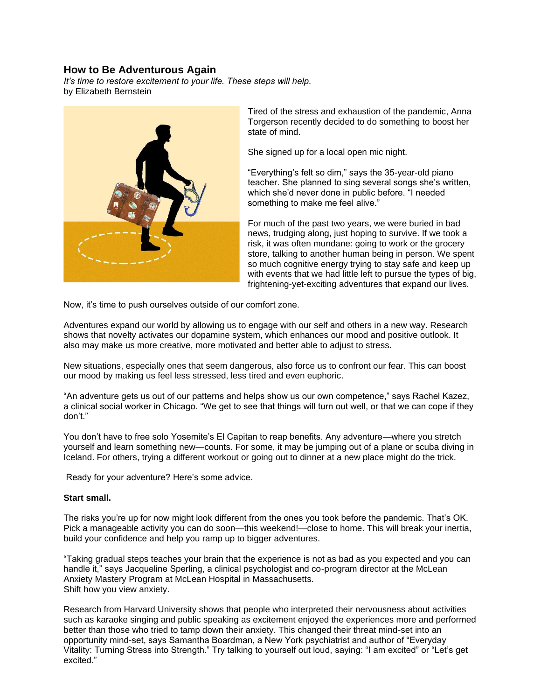## **How to Be Adventurous Again**

*It's time to restore excitement to your life. These steps will help.* by Elizabeth Bernstein



Tired of the stress and exhaustion of the pandemic, Anna Torgerson recently decided to do something to boost her state of mind.

She signed up for a local open mic night.

"Everything's felt so dim," says the 35-year-old piano teacher. She planned to sing several songs she's written, which she'd never done in public before. "I needed something to make me feel alive."

For much of the past two years, we were buried in bad news, trudging along, just hoping to survive. If we took a risk, it was often mundane: going to work or the grocery store, talking to another human being in person. We spent so much cognitive energy trying to stay safe and keep up with events that we had little left to pursue the types of big, frightening-yet-exciting adventures that expand our lives.

Now, it's time to push ourselves outside of our comfort zone.

Adventures expand our world by allowing us to engage with our self and others in a new way. Research shows that novelty activates our dopamine system, which enhances our mood and positive outlook. It also may make us more creative, more motivated and better able to adjust to stress.

New situations, especially ones that seem dangerous, also force us to confront our fear. This can boost our mood by making us feel less stressed, less tired and even euphoric.

"An adventure gets us out of our patterns and helps show us our own competence," says Rachel Kazez, a clinical social worker in Chicago. "We get to see that things will turn out well, or that we can cope if they don't."

You don't have to free solo Yosemite's El Capitan to reap benefits. Any adventure—where you stretch yourself and learn something new—counts. For some, it may be jumping out of a plane or scuba diving in Iceland. For others, trying a different workout or going out to dinner at a new place might do the trick.

Ready for your adventure? Here's some advice.

## **Start small.**

The risks you're up for now might look different from the ones you took before the pandemic. That's OK. Pick a manageable activity you can do soon—this weekend!—close to home. This will break your inertia, build your confidence and help you ramp up to bigger adventures.

"Taking gradual steps teaches your brain that the experience is not as bad as you expected and you can handle it," says Jacqueline Sperling, a clinical psychologist and co-program director at the McLean Anxiety Mastery Program at McLean Hospital in Massachusetts. Shift how you view anxiety.

Research from Harvard University shows that people who interpreted their nervousness about activities such as karaoke singing and public speaking as excitement enjoyed the experiences more and performed better than those who tried to tamp down their anxiety. This changed their threat mind-set into an opportunity mind-set, says Samantha Boardman, a New York psychiatrist and author of "Everyday Vitality: Turning Stress into Strength." Try talking to yourself out loud, saying: "I am excited" or "Let's get excited."